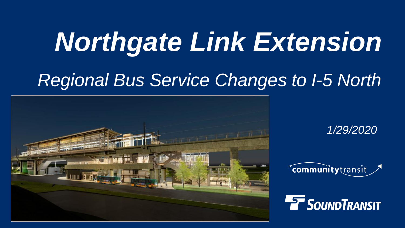# *Northgate Link Extension*

## *Regional Bus Service Changes to I-5 North*



*1/29/2020*



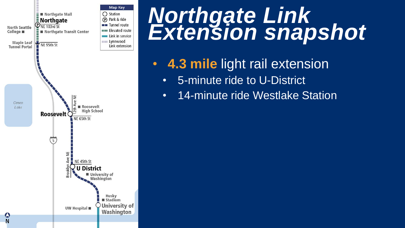

## *Northgate Link Extension snapshot*

- **4.3 mile** light rail extension
	- 5-minute ride to U-District
	- 14-minute ride Westlake Station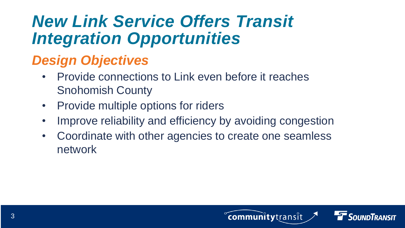## *New Link Service Offers Transit Integration Opportunities*

#### *Design Objectives*

- Provide connections to Link even before it reaches Snohomish County
- Provide multiple options for riders
- Improve reliability and efficiency by avoiding congestion
- Coordinate with other agencies to create one seamless network



communitytransit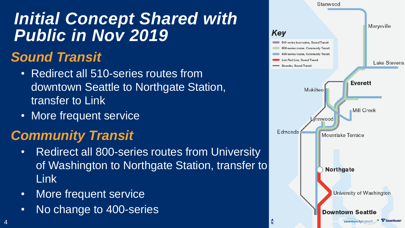## *Initial Concept Shared with Public in Nov 2019*

#### *Sound Transit*

- Redirect all 510-series routes from downtown Seattle to Northgate Station, transfer to Link
- More frequent service

#### *Community Transit*

- Redirect all 800-series routes from University of Washington to Northgate Station, transfer to Link
- More frequent service

4

• No change to 400-series

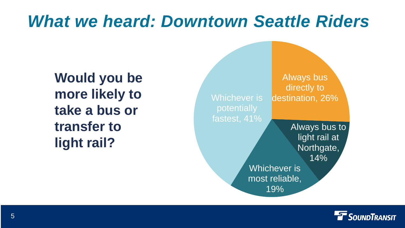## *What we heard: Downtown Seattle Riders*

**Would you be more likely to take a bus or transfer to light rail?**



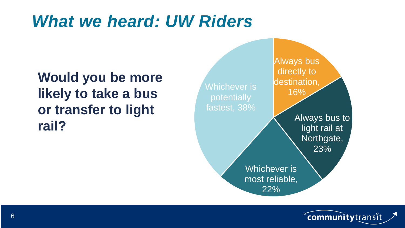## *What we heard: UW Riders*

**Would you be more likely to take a bus or transfer to light rail?**



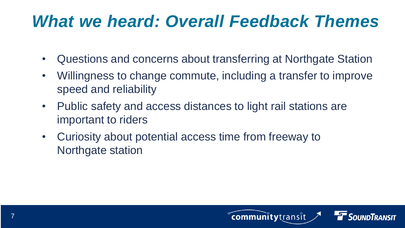## *What we heard: Overall Feedback Themes*

- Questions and concerns about transferring at Northgate Station
- Willingness to change commute, including a transfer to improve speed and reliability
- Public safety and access distances to light rail stations are important to riders
- Curiosity about potential access time from freeway to Northgate station

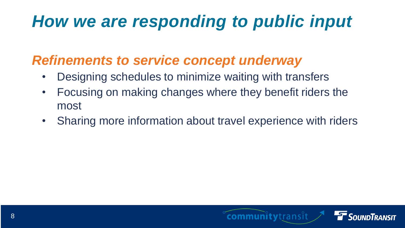## *How we are responding to public input*

#### *Refinements to service concept underway*

- Designing schedules to minimize waiting with transfers
- Focusing on making changes where they benefit riders the most
- Sharing more information about travel experience with riders

communitytransit

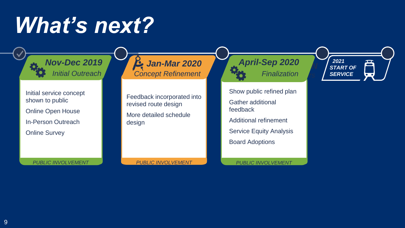## *What's next?*

Initial service concept shown to public Online Open House In-Person Outreach Online Survey

**Jan-Mar 2020** *Initial Outreach <b>6 <i>Concept Refinement Nov-Dec 2019 April-Sep 2020*

> Feedback incorporated into revised route design

More detailed schedule design

Show public refined plan Gather additional feedback Additional refinement Service Equity Analysis **Board Adoptions** 

*Finalization*

*PUBLIC INVOLVEMENT*

*2021* 咅 *START OF SERVICE*  $\overline{\bullet\hspace{1.5pt}\bullet\hspace{1.5pt}}$ 

*PUBLIC INVOLVEMENT*

*PUBLIC INVOLVEMENT*

9